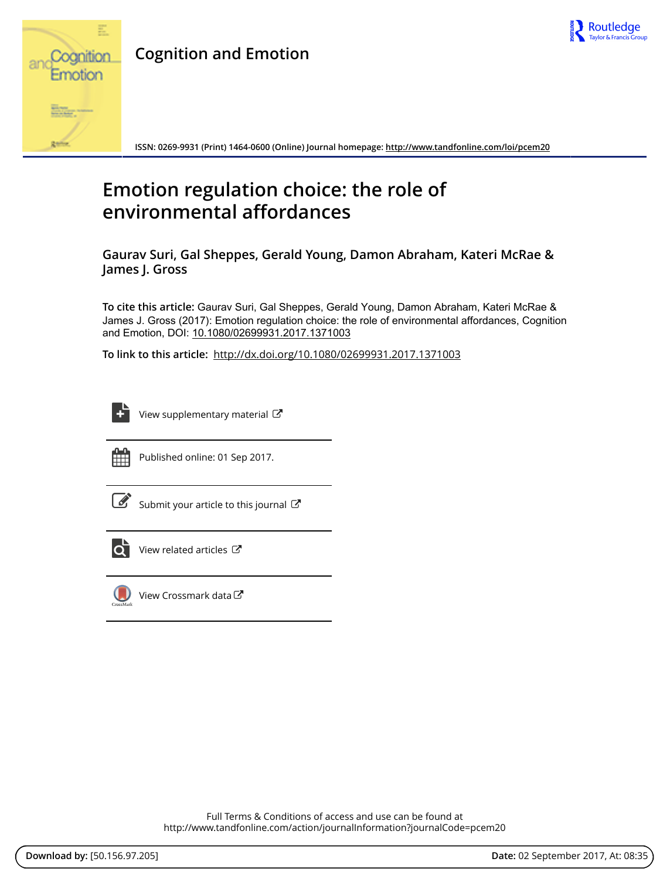

# **Cognition and Emotion**



**ISSN: 0269-9931 (Print) 1464-0600 (Online) Journal homepage:<http://www.tandfonline.com/loi/pcem20>**

# **Emotion regulation choice: the role of environmental affordances**

**Gaurav Suri, Gal Sheppes, Gerald Young, Damon Abraham, Kateri McRae & James J. Gross**

**To cite this article:** Gaurav Suri, Gal Sheppes, Gerald Young, Damon Abraham, Kateri McRae & James J. Gross (2017): Emotion regulation choice: the role of environmental affordances, Cognition and Emotion, DOI: [10.1080/02699931.2017.1371003](http://www.tandfonline.com/action/showCitFormats?doi=10.1080/02699931.2017.1371003)

**To link to this article:** <http://dx.doi.org/10.1080/02699931.2017.1371003>

| _______     |
|-------------|
| _<br>-<br>- |
| ۰<br>٠      |

[View supplementary material](http://www.tandfonline.com/doi/suppl/10.1080/02699931.2017.1371003)  $\mathbb{Z}$ 



Published online: 01 Sep 2017.

| I<br>I |
|--------|
|--------|

[Submit your article to this journal](http://www.tandfonline.com/action/authorSubmission?journalCode=pcem20&show=instructions)  $\mathbb{Z}$ 



[View related articles](http://www.tandfonline.com/doi/mlt/10.1080/02699931.2017.1371003)  $\mathbb{Z}$ 



[View Crossmark data](http://crossmark.crossref.org/dialog/?doi=10.1080/02699931.2017.1371003&domain=pdf&date_stamp=2017-09-01)<sup>C</sup>

Full Terms & Conditions of access and use can be found at <http://www.tandfonline.com/action/journalInformation?journalCode=pcem20>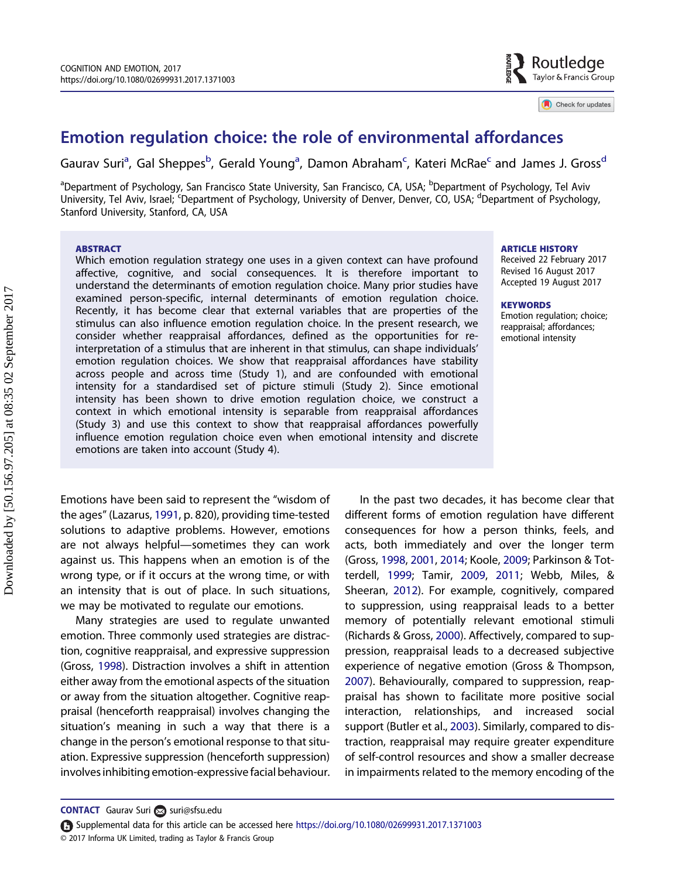

Check for updates

# <span id="page-1-0"></span>Emotion regulation choice: the role of environmental affordances

Gaurav Suri<sup>a</sup>, Gal Sheppes<sup>b</sup>, Gerald Young<sup>a</sup>, Damon Abraham<sup>c</sup>, Kateri McRae<sup>c</sup> and James J. Gross<sup>d</sup>

<sup>a</sup>Department of Psychology, San Francisco State University, San Francisco, CA, USA; <sup>b</sup>Department of Psychology, Tel Aviv University, Tel Aviv, Israel; <sup>c</sup>Department of Psychology, University of Denver, Denver, CO, USA; <sup>d</sup>Department of Psychology, Stanford University, Stanford, CA, USA

#### **ABSTRACT**

Which emotion regulation strategy one uses in a given context can have profound affective, cognitive, and social consequences. It is therefore important to understand the determinants of emotion regulation choice. Many prior studies have examined person-specific, internal determinants of emotion regulation choice. Recently, it has become clear that external variables that are properties of the stimulus can also influence emotion regulation choice. In the present research, we consider whether reappraisal affordances, defined as the opportunities for reinterpretation of a stimulus that are inherent in that stimulus, can shape individuals' emotion regulation choices. We show that reappraisal affordances have stability across people and across time (Study 1), and are confounded with emotional intensity for a standardised set of picture stimuli (Study 2). Since emotional intensity has been shown to drive emotion regulation choice, we construct a context in which emotional intensity is separable from reappraisal affordances (Study 3) and use this context to show that reappraisal affordances powerfully influence emotion regulation choice even when emotional intensity and discrete emotions are taken into account (Study 4).

Emotions have been said to represent the "wisdom of the ages" (Lazarus, [1991](#page-9-0), p. 820), providing time-tested solutions to adaptive problems. However, emotions are not always helpful—sometimes they can work against us. This happens when an emotion is of the wrong type, or if it occurs at the wrong time, or with an intensity that is out of place. In such situations, we may be motivated to regulate our emotions.

Many strategies are used to regulate unwanted emotion. Three commonly used strategies are distraction, cognitive reappraisal, and expressive suppression (Gross, [1998\)](#page-9-0). Distraction involves a shift in attention either away from the emotional aspects of the situation or away from the situation altogether. Cognitive reappraisal (henceforth reappraisal) involves changing the situation's meaning in such a way that there is a change in the person's emotional response to that situation. Expressive suppression (henceforth suppression) involves inhibiting emotion-expressivefacial behaviour. ARTICLE HISTORY

Received 22 February 2017 Revised 16 August 2017 Accepted 19 August 2017

#### **KEYWORDS**

Emotion regulation; choice; reappraisal; affordances; emotional intensity

In the past two decades, it has become clear that different forms of emotion regulation have different consequences for how a person thinks, feels, and acts, both immediately and over the longer term (Gross, [1998,](#page-9-0) [2001](#page-9-0), [2014](#page-9-0); Koole, [2009](#page-9-0); Parkinson & Totterdell, [1999;](#page-9-0) Tamir, [2009](#page-9-0), [2011](#page-9-0); Webb, Miles, & Sheeran, [2012\)](#page-9-0). For example, cognitively, compared to suppression, using reappraisal leads to a better memory of potentially relevant emotional stimuli (Richards & Gross, [2000](#page-9-0)). Affectively, compared to suppression, reappraisal leads to a decreased subjective experience of negative emotion (Gross & Thompson, [2007](#page-9-0)). Behaviourally, compared to suppression, reappraisal has shown to facilitate more positive social interaction, relationships, and increased social support (Butler et al., [2003\)](#page-9-0). Similarly, compared to distraction, reappraisal may require greater expenditure of self-control resources and show a smaller decrease in impairments related to the memory encoding of the

CONTACT Gaurav Suri a [suri@sfsu.edu](mailto:suri@sfsu.edu)

<sup>© 2017</sup> Informa UK Limited, trading as Taylor & Francis Group Supplemental data for this article can be accessed here <https://doi.org/10.1080/02699931.2017.1371003>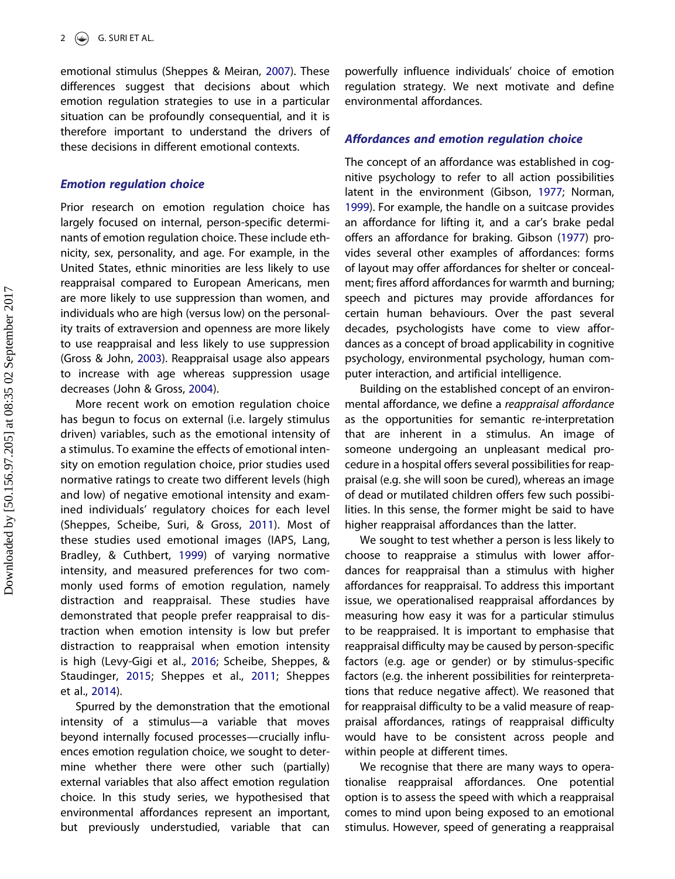<span id="page-2-0"></span>emotional stimulus (Sheppes & Meiran, [2007\)](#page-9-0). These differences suggest that decisions about which emotion regulation strategies to use in a particular situation can be profoundly consequential, and it is therefore important to understand the drivers of these decisions in different emotional contexts.

## Emotion regulation choice

Prior research on emotion regulation choice has largely focused on internal, person-specific determinants of emotion regulation choice. These include ethnicity, sex, personality, and age. For example, in the United States, ethnic minorities are less likely to use reappraisal compared to European Americans, men are more likely to use suppression than women, and individuals who are high (versus low) on the personality traits of extraversion and openness are more likely to use reappraisal and less likely to use suppression (Gross & John, [2003](#page-9-0)). Reappraisal usage also appears to increase with age whereas suppression usage decreases (John & Gross, [2004](#page-9-0)).

More recent work on emotion regulation choice has begun to focus on external (i.e. largely stimulus driven) variables, such as the emotional intensity of a stimulus. To examine the effects of emotional intensity on emotion regulation choice, prior studies used normative ratings to create two different levels (high and low) of negative emotional intensity and examined individuals' regulatory choices for each level (Sheppes, Scheibe, Suri, & Gross, [2011\)](#page-9-0). Most of these studies used emotional images (IAPS, Lang, Bradley, & Cuthbert, [1999\)](#page-9-0) of varying normative intensity, and measured preferences for two commonly used forms of emotion regulation, namely distraction and reappraisal. These studies have demonstrated that people prefer reappraisal to distraction when emotion intensity is low but prefer distraction to reappraisal when emotion intensity is high (Levy-Gigi et al., [2016;](#page-9-0) Scheibe, Sheppes, & Staudinger, [2015](#page-9-0); Sheppes et al., [2011](#page-9-0); Sheppes et al., [2014](#page-9-0)).

Spurred by the demonstration that the emotional intensity of a stimulus—a variable that moves beyond internally focused processes—crucially influences emotion regulation choice, we sought to determine whether there were other such (partially) external variables that also affect emotion regulation choice. In this study series, we hypothesised that environmental affordances represent an important, but previously understudied, variable that can powerfully influence individuals' choice of emotion regulation strategy. We next motivate and define environmental affordances.

# Affordances and emotion regulation choice

The concept of an affordance was established in cognitive psychology to refer to all action possibilities latent in the environment (Gibson, [1977;](#page-9-0) Norman, [1999](#page-9-0)). For example, the handle on a suitcase provides an affordance for lifting it, and a car's brake pedal offers an affordance for braking. Gibson [\(1977\)](#page-9-0) provides several other examples of affordances: forms of layout may offer affordances for shelter or concealment; fires afford affordances for warmth and burning; speech and pictures may provide affordances for certain human behaviours. Over the past several decades, psychologists have come to view affordances as a concept of broad applicability in cognitive psychology, environmental psychology, human computer interaction, and artificial intelligence.

Building on the established concept of an environmental affordance, we define a reappraisal affordance as the opportunities for semantic re-interpretation that are inherent in a stimulus. An image of someone undergoing an unpleasant medical procedure in a hospital offers several possibilities for reappraisal (e.g. she will soon be cured), whereas an image of dead or mutilated children offers few such possibilities. In this sense, the former might be said to have higher reappraisal affordances than the latter.

We sought to test whether a person is less likely to choose to reappraise a stimulus with lower affordances for reappraisal than a stimulus with higher affordances for reappraisal. To address this important issue, we operationalised reappraisal affordances by measuring how easy it was for a particular stimulus to be reappraised. It is important to emphasise that reappraisal difficulty may be caused by person-specific factors (e.g. age or gender) or by stimulus-specific factors (e.g. the inherent possibilities for reinterpretations that reduce negative affect). We reasoned that for reappraisal difficulty to be a valid measure of reappraisal affordances, ratings of reappraisal difficulty would have to be consistent across people and within people at different times.

We recognise that there are many ways to operationalise reappraisal affordances. One potential option is to assess the speed with which a reappraisal comes to mind upon being exposed to an emotional stimulus. However, speed of generating a reappraisal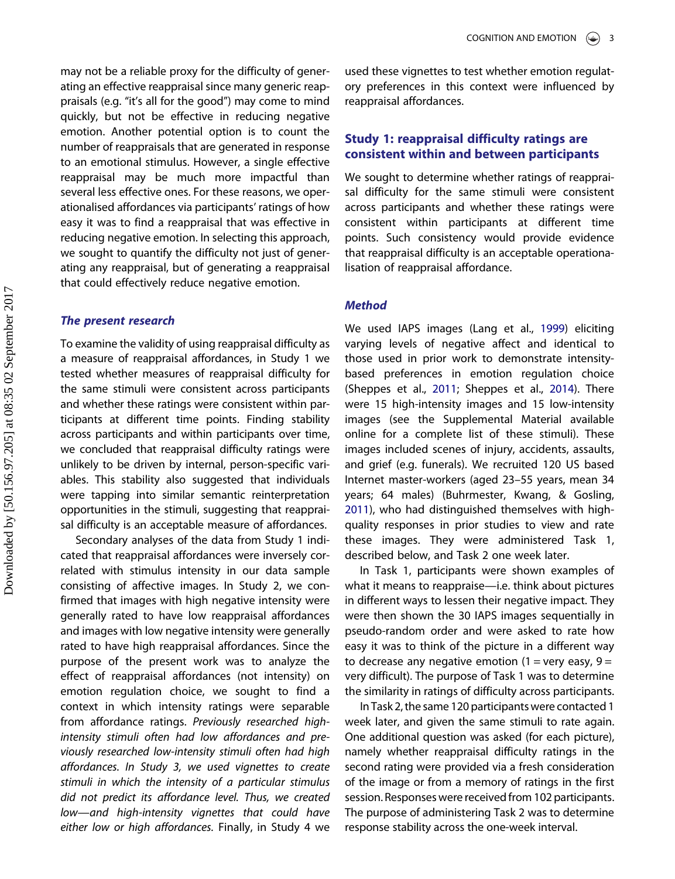<span id="page-3-0"></span>may not be a reliable proxy for the difficulty of generating an effective reappraisal since many generic reappraisals (e.g. "it's all for the good") may come to mind quickly, but not be effective in reducing negative emotion. Another potential option is to count the number of reappraisals that are generated in response to an emotional stimulus. However, a single effective reappraisal may be much more impactful than several less effective ones. For these reasons, we operationalised affordances via participants' ratings of how easy it was to find a reappraisal that was effective in reducing negative emotion. In selecting this approach, we sought to quantify the difficulty not just of generating any reappraisal, but of generating a reappraisal that could effectively reduce negative emotion.

# The present research

To examine the validity of using reappraisal difficulty as a measure of reappraisal affordances, in Study 1 we tested whether measures of reappraisal difficulty for the same stimuli were consistent across participants and whether these ratings were consistent within participants at different time points. Finding stability across participants and within participants over time, we concluded that reappraisal difficulty ratings were unlikely to be driven by internal, person-specific variables. This stability also suggested that individuals were tapping into similar semantic reinterpretation opportunities in the stimuli, suggesting that reappraisal difficulty is an acceptable measure of affordances.

Secondary analyses of the data from Study 1 indicated that reappraisal affordances were inversely correlated with stimulus intensity in our data sample consisting of affective images. In Study 2, we confirmed that images with high negative intensity were generally rated to have low reappraisal affordances and images with low negative intensity were generally rated to have high reappraisal affordances. Since the purpose of the present work was to analyze the effect of reappraisal affordances (not intensity) on emotion regulation choice, we sought to find a context in which intensity ratings were separable from affordance ratings. Previously researched highintensity stimuli often had low affordances and previously researched low-intensity stimuli often had high affordances. In Study 3, we used vignettes to create stimuli in which the intensity of a particular stimulus did not predict its affordance level. Thus, we created low—and high-intensity vignettes that could have either low or high affordances. Finally, in Study 4 we used these vignettes to test whether emotion regulatory preferences in this context were influenced by reappraisal affordances.

# Study 1: reappraisal difficulty ratings are consistent within and between participants

We sought to determine whether ratings of reappraisal difficulty for the same stimuli were consistent across participants and whether these ratings were consistent within participants at different time points. Such consistency would provide evidence that reappraisal difficulty is an acceptable operationalisation of reappraisal affordance.

# **Method**

We used IAPS images (Lang et al., [1999](#page-9-0)) eliciting varying levels of negative affect and identical to those used in prior work to demonstrate intensitybased preferences in emotion regulation choice (Sheppes et al., [2011;](#page-9-0) Sheppes et al., [2014\)](#page-9-0). There were 15 high-intensity images and 15 low-intensity images (see the Supplemental Material available online for a complete list of these stimuli). These images included scenes of injury, accidents, assaults, and grief (e.g. funerals). We recruited 120 US based Internet master-workers (aged 23–55 years, mean 34 years; 64 males) (Buhrmester, Kwang, & Gosling, [2011](#page-8-0)), who had distinguished themselves with highquality responses in prior studies to view and rate these images. They were administered Task 1, described below, and Task 2 one week later.

In Task 1, participants were shown examples of what it means to reappraise—i.e. think about pictures in different ways to lessen their negative impact. They were then shown the 30 IAPS images sequentially in pseudo-random order and were asked to rate how easy it was to think of the picture in a different way to decrease any negative emotion (1 = very easy, 9 = very difficult). The purpose of Task 1 was to determine the similarity in ratings of difficulty across participants.

In Task 2, the same 120 participants were contacted 1 week later, and given the same stimuli to rate again. One additional question was asked (for each picture), namely whether reappraisal difficulty ratings in the second rating were provided via a fresh consideration of the image or from a memory of ratings in the first session. Responses were received from 102 participants. The purpose of administering Task 2 was to determine response stability across the one-week interval.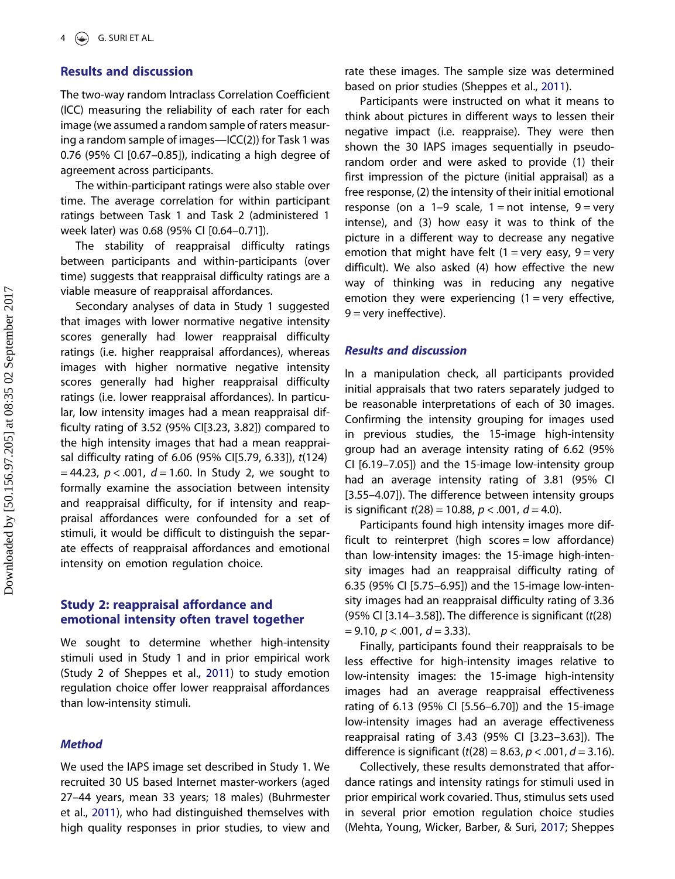## <span id="page-4-0"></span>Results and discussion

The two-way random Intraclass Correlation Coefficient (ICC) measuring the reliability of each rater for each image (we assumed a random sample of raters measuring a random sample of images—ICC(2)) for Task 1 was 0.76 (95% CI [0.67–0.85]), indicating a high degree of agreement across participants.

The within-participant ratings were also stable over time. The average correlation for within participant ratings between Task 1 and Task 2 (administered 1 week later) was 0.68 (95% CI [0.64–0.71]).

The stability of reappraisal difficulty ratings between participants and within-participants (over time) suggests that reappraisal difficulty ratings are a viable measure of reappraisal affordances.

Secondary analyses of data in Study 1 suggested that images with lower normative negative intensity scores generally had lower reappraisal difficulty ratings (i.e. higher reappraisal affordances), whereas images with higher normative negative intensity scores generally had higher reappraisal difficulty ratings (i.e. lower reappraisal affordances). In particular, low intensity images had a mean reappraisal difficulty rating of 3.52 (95% CI[3.23, 3.82]) compared to the high intensity images that had a mean reappraisal difficulty rating of 6.06 (95% CI[5.79, 6.33]), t(124)  $= 44.23$ ,  $p < .001$ ,  $d = 1.60$ . In Study 2, we sought to formally examine the association between intensity and reappraisal difficulty, for if intensity and reappraisal affordances were confounded for a set of stimuli, it would be difficult to distinguish the separate effects of reappraisal affordances and emotional intensity on emotion regulation choice.

# Study 2: reappraisal affordance and emotional intensity often travel together

We sought to determine whether high-intensity stimuli used in Study 1 and in prior empirical work (Study 2 of Sheppes et al., [2011](#page-9-0)) to study emotion regulation choice offer lower reappraisal affordances than low-intensity stimuli.

# **Method**

We used the IAPS image set described in Study 1. We recruited 30 US based Internet master-workers (aged 27–44 years, mean 33 years; 18 males) (Buhrmester et al., [2011](#page-8-0)), who had distinguished themselves with high quality responses in prior studies, to view and rate these images. The sample size was determined based on prior studies (Sheppes et al., [2011](#page-9-0)).

Participants were instructed on what it means to think about pictures in different ways to lessen their negative impact (i.e. reappraise). They were then shown the 30 IAPS images sequentially in pseudorandom order and were asked to provide (1) their first impression of the picture (initial appraisal) as a free response, (2) the intensity of their initial emotional response (on a 1–9 scale, 1 = not intense, 9 = very intense), and (3) how easy it was to think of the picture in a different way to decrease any negative emotion that might have felt  $(1 = \text{very easy}, 9 = \text{very})$ difficult). We also asked (4) how effective the new way of thinking was in reducing any negative emotion they were experiencing  $(1 = \text{very effective})$  $9 =$  very ineffective).

#### Results and discussion

In a manipulation check, all participants provided initial appraisals that two raters separately judged to be reasonable interpretations of each of 30 images. Confirming the intensity grouping for images used in previous studies, the 15-image high-intensity group had an average intensity rating of 6.62 (95% CI [6.19–7.05]) and the 15-image low-intensity group had an average intensity rating of 3.81 (95% CI [3.55–4.07]). The difference between intensity groups is significant  $t(28) = 10.88$ ,  $p < .001$ ,  $d = 4.0$ ).

Participants found high intensity images more difficult to reinterpret (high scores = low affordance) than low-intensity images: the 15-image high-intensity images had an reappraisal difficulty rating of 6.35 (95% CI [5.75–6.95]) and the 15-image low-intensity images had an reappraisal difficulty rating of 3.36  $(95\%$  CI [3.14–3.58]). The difference is significant ( $t(28)$ )  $= 9.10, p < .001, d = 3.33$ ).

Finally, participants found their reappraisals to be less effective for high-intensity images relative to low-intensity images: the 15-image high-intensity images had an average reappraisal effectiveness rating of 6.13 (95% CI [5.56–6.70]) and the 15-image low-intensity images had an average effectiveness reappraisal rating of 3.43 (95% CI [3.23–3.63]). The difference is significant ( $t(28) = 8.63$ ,  $p < .001$ ,  $d = 3.16$ ).

Collectively, these results demonstrated that affordance ratings and intensity ratings for stimuli used in prior empirical work covaried. Thus, stimulus sets used in several prior emotion regulation choice studies (Mehta, Young, Wicker, Barber, & Suri, [2017;](#page-9-0) Sheppes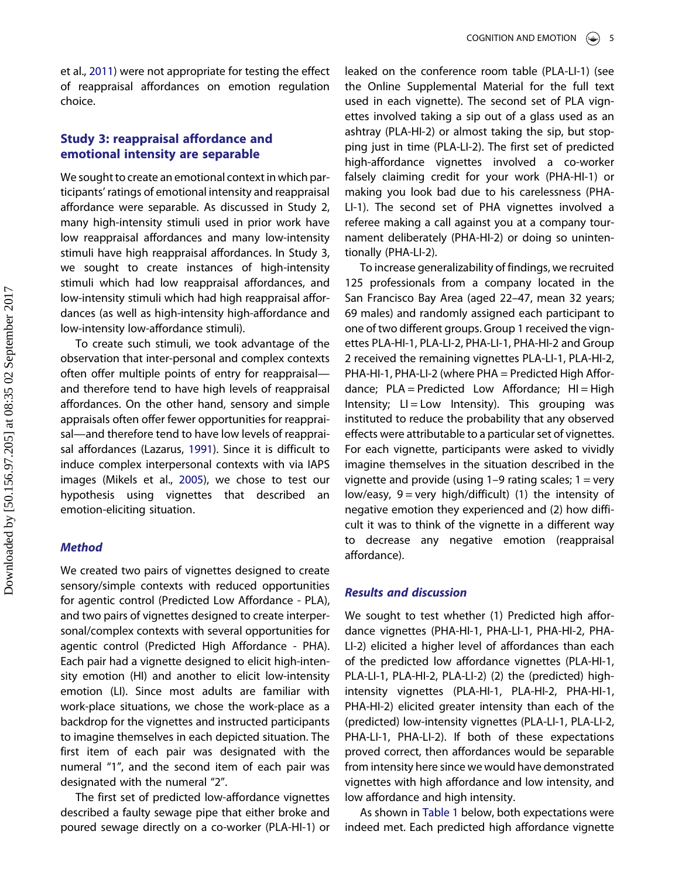<span id="page-5-0"></span>et al., [2011](#page-9-0)) were not appropriate for testing the effect of reappraisal affordances on emotion regulation choice.

# Study 3: reappraisal affordance and emotional intensity are separable

We sought to create an emotional context in which participants' ratings of emotional intensity and reappraisal affordance were separable. As discussed in Study 2, many high-intensity stimuli used in prior work have low reappraisal affordances and many low-intensity stimuli have high reappraisal affordances. In Study 3, we sought to create instances of high-intensity stimuli which had low reappraisal affordances, and low-intensity stimuli which had high reappraisal affordances (as well as high-intensity high-affordance and low-intensity low-affordance stimuli).

To create such stimuli, we took advantage of the observation that inter-personal and complex contexts often offer multiple points of entry for reappraisal and therefore tend to have high levels of reappraisal affordances. On the other hand, sensory and simple appraisals often offer fewer opportunities for reappraisal—and therefore tend to have low levels of reappraisal affordances (Lazarus, [1991](#page-9-0)). Since it is difficult to induce complex interpersonal contexts with via IAPS images (Mikels et al., [2005\)](#page-9-0), we chose to test our hypothesis using vignettes that described an emotion-eliciting situation.

# Method

We created two pairs of vignettes designed to create sensory/simple contexts with reduced opportunities for agentic control (Predicted Low Affordance - PLA), and two pairs of vignettes designed to create interpersonal/complex contexts with several opportunities for agentic control (Predicted High Affordance - PHA). Each pair had a vignette designed to elicit high-intensity emotion (HI) and another to elicit low-intensity emotion (LI). Since most adults are familiar with work-place situations, we chose the work-place as a backdrop for the vignettes and instructed participants to imagine themselves in each depicted situation. The first item of each pair was designated with the numeral "1", and the second item of each pair was designated with the numeral "2".

The first set of predicted low-affordance vignettes described a faulty sewage pipe that either broke and poured sewage directly on a co-worker (PLA-HI-1) or leaked on the conference room table (PLA-LI-1) (see the Online Supplemental Material for the full text used in each vignette). The second set of PLA vignettes involved taking a sip out of a glass used as an ashtray (PLA-HI-2) or almost taking the sip, but stopping just in time (PLA-LI-2). The first set of predicted high-affordance vignettes involved a co-worker falsely claiming credit for your work (PHA-HI-1) or making you look bad due to his carelessness (PHA-LI-1). The second set of PHA vignettes involved a referee making a call against you at a company tournament deliberately (PHA-HI-2) or doing so unintentionally (PHA-LI-2).

To increase generalizability of findings, we recruited 125 professionals from a company located in the San Francisco Bay Area (aged 22–47, mean 32 years; 69 males) and randomly assigned each participant to one of two different groups. Group 1 received the vignettes PLA-HI-1, PLA-LI-2, PHA-LI-1, PHA-HI-2 and Group 2 received the remaining vignettes PLA-LI-1, PLA-HI-2, PHA-HI-1, PHA-LI-2 (where PHA = Predicted High Affordance;  $PLA = Predicted Low Affordance; HI = High$ Intensity; LI = Low Intensity). This grouping was instituted to reduce the probability that any observed effects were attributable to a particular set of vignettes. For each vignette, participants were asked to vividly imagine themselves in the situation described in the vignette and provide (using  $1-9$  rating scales;  $1 = \text{very}$ low/easy,  $9 = \text{very high/difficult}$  (1) the intensity of negative emotion they experienced and (2) how difficult it was to think of the vignette in a different way to decrease any negative emotion (reappraisal affordance).

# Results and discussion

We sought to test whether (1) Predicted high affordance vignettes (PHA-HI-1, PHA-LI-1, PHA-HI-2, PHA-LI-2) elicited a higher level of affordances than each of the predicted low affordance vignettes (PLA-HI-1, PLA-LI-1, PLA-HI-2, PLA-LI-2) (2) the (predicted) highintensity vignettes (PLA-HI-1, PLA-HI-2, PHA-HI-1, PHA-HI-2) elicited greater intensity than each of the (predicted) low-intensity vignettes (PLA-LI-1, PLA-LI-2, PHA-LI-1, PHA-LI-2). If both of these expectations proved correct, then affordances would be separable from intensity here since we would have demonstrated vignettes with high affordance and low intensity, and low affordance and high intensity.

As shown in [Table 1](#page-7-0) below, both expectations were indeed met. Each predicted high affordance vignette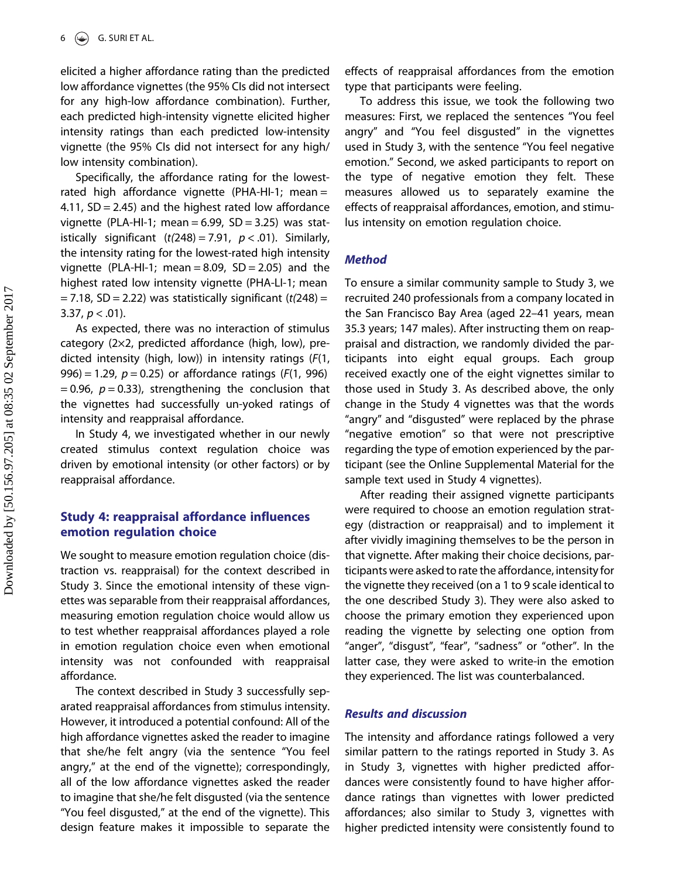elicited a higher affordance rating than the predicted low affordance vignettes (the 95% CIs did not intersect for any high-low affordance combination). Further, each predicted high-intensity vignette elicited higher intensity ratings than each predicted low-intensity vignette (the 95% CIs did not intersect for any high/ low intensity combination).

Specifically, the affordance rating for the lowestrated high affordance vignette (PHA-HI-1; mean = 4.11,  $SD = 2.45$ ) and the highest rated low affordance vignette (PLA-HI-1; mean =  $6.99$ , SD =  $3.25$ ) was statistically significant  $(t(248) = 7.91, p < .01)$ . Similarly, the intensity rating for the lowest-rated high intensity vignette (PLA-HI-1; mean =  $8.09$ , SD =  $2.05$ ) and the highest rated low intensity vignette (PHA-LI-1; mean  $= 7.18$ , SD  $= 2.22$ ) was statistically significant (t(248)  $=$ 3.37,  $p < .01$ ).

As expected, there was no interaction of stimulus category (2×2, predicted affordance (high, low), predicted intensity (high, low)) in intensity ratings (F(1, 996) = 1.29,  $p = 0.25$ ) or affordance ratings ( $F(1, 996)$ ) = 0.96,  $p = 0.33$ ), strengthening the conclusion that the vignettes had successfully un-yoked ratings of intensity and reappraisal affordance.

In Study 4, we investigated whether in our newly created stimulus context regulation choice was driven by emotional intensity (or other factors) or by reappraisal affordance.

# Study 4: reappraisal affordance influences emotion regulation choice

We sought to measure emotion regulation choice (distraction vs. reappraisal) for the context described in Study 3. Since the emotional intensity of these vignettes was separable from their reappraisal affordances, measuring emotion regulation choice would allow us to test whether reappraisal affordances played a role in emotion regulation choice even when emotional intensity was not confounded with reappraisal affordance.

The context described in Study 3 successfully separated reappraisal affordances from stimulus intensity. However, it introduced a potential confound: All of the high affordance vignettes asked the reader to imagine that she/he felt angry (via the sentence "You feel angry," at the end of the vignette); correspondingly, all of the low affordance vignettes asked the reader to imagine that she/he felt disgusted (via the sentence "You feel disgusted," at the end of the vignette). This design feature makes it impossible to separate the effects of reappraisal affordances from the emotion type that participants were feeling.

To address this issue, we took the following two measures: First, we replaced the sentences "You feel angry" and "You feel disgusted" in the vignettes used in Study 3, with the sentence "You feel negative emotion." Second, we asked participants to report on the type of negative emotion they felt. These measures allowed us to separately examine the effects of reappraisal affordances, emotion, and stimulus intensity on emotion regulation choice.

#### Method

To ensure a similar community sample to Study 3, we recruited 240 professionals from a company located in the San Francisco Bay Area (aged 22–41 years, mean 35.3 years; 147 males). After instructing them on reappraisal and distraction, we randomly divided the participants into eight equal groups. Each group received exactly one of the eight vignettes similar to those used in Study 3. As described above, the only change in the Study 4 vignettes was that the words "angry" and "disgusted" were replaced by the phrase "negative emotion" so that were not prescriptive regarding the type of emotion experienced by the participant (see the Online Supplemental Material for the sample text used in Study 4 vignettes).

After reading their assigned vignette participants were required to choose an emotion regulation strategy (distraction or reappraisal) and to implement it after vividly imagining themselves to be the person in that vignette. After making their choice decisions, participants were asked to rate the affordance, intensity for the vignette they received (on a 1 to 9 scale identical to the one described Study 3). They were also asked to choose the primary emotion they experienced upon reading the vignette by selecting one option from "anger", "disgust", "fear", "sadness" or "other". In the latter case, they were asked to write-in the emotion they experienced. The list was counterbalanced.

# Results and discussion

The intensity and affordance ratings followed a very similar pattern to the ratings reported in Study 3. As in Study 3, vignettes with higher predicted affordances were consistently found to have higher affordance ratings than vignettes with lower predicted affordances; also similar to Study 3, vignettes with higher predicted intensity were consistently found to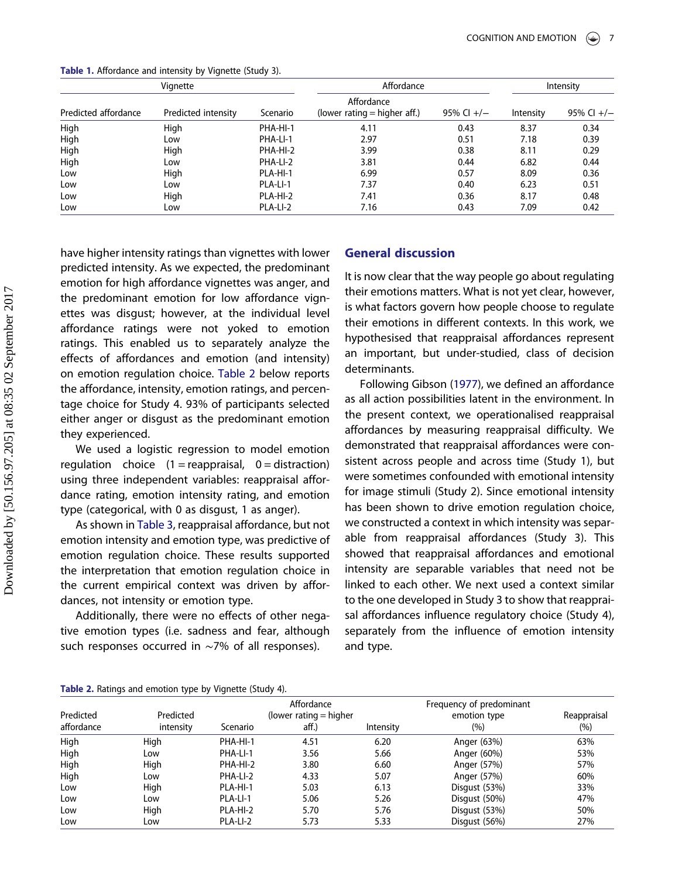| Vignette             |                     |          | Affordance                                   | Intensity    |           |              |
|----------------------|---------------------|----------|----------------------------------------------|--------------|-----------|--------------|
| Predicted affordance | Predicted intensity | Scenario | Affordance<br>(lower rating $=$ higher aff.) | 95% Cl $+/-$ | Intensity | 95% Cl $+/-$ |
| High                 | High                | PHA-HI-1 | 4.11                                         | 0.43         | 8.37      | 0.34         |
| High                 | Low                 | PHA-LI-1 | 2.97                                         | 0.51         | 7.18      | 0.39         |
| High                 | High                | PHA-HI-2 | 3.99                                         | 0.38         | 8.11      | 0.29         |
| High                 | Low                 | PHA-LI-2 | 3.81                                         | 0.44         | 6.82      | 0.44         |
| Low                  | High                | PLA-HI-1 | 6.99                                         | 0.57         | 8.09      | 0.36         |
| Low                  | Low                 | PLA-LI-1 | 7.37                                         | 0.40         | 6.23      | 0.51         |
| Low                  | High                | PLA-HI-2 | 7.41                                         | 0.36         | 8.17      | 0.48         |
| Low                  | Low                 | PLA-LI-2 | 7.16                                         | 0.43         | 7.09      | 0.42         |

<span id="page-7-0"></span>Table 1. Affordance and intensity by Vignette (Study 3).

have higher intensity ratings than vignettes with lower predicted intensity. As we expected, the predominant emotion for high affordance vignettes was anger, and the predominant emotion for low affordance vignettes was disgust; however, at the individual level affordance ratings were not yoked to emotion ratings. This enabled us to separately analyze the effects of affordances and emotion (and intensity) on emotion regulation choice. Table 2 below reports the affordance, intensity, emotion ratings, and percentage choice for Study 4. 93% of participants selected either anger or disgust as the predominant emotion they experienced.

We used a logistic regression to model emotion regulation choice  $(1 =$  reappraisal,  $0 =$  distraction) using three independent variables: reappraisal affordance rating, emotion intensity rating, and emotion type (categorical, with 0 as disgust, 1 as anger).

As shown in [Table 3](#page-8-0), reappraisal affordance, but not emotion intensity and emotion type, was predictive of emotion regulation choice. These results supported the interpretation that emotion regulation choice in the current empirical context was driven by affordances, not intensity or emotion type.

Additionally, there were no effects of other negative emotion types (i.e. sadness and fear, although such responses occurred in ∼7% of all responses).

# General discussion

It is now clear that the way people go about regulating their emotions matters. What is not yet clear, however, is what factors govern how people choose to regulate their emotions in different contexts. In this work, we hypothesised that reappraisal affordances represent an important, but under-studied, class of decision determinants.

Following Gibson ([1977](#page-9-0)), we defined an affordance as all action possibilities latent in the environment. In the present context, we operationalised reappraisal affordances by measuring reappraisal difficulty. We demonstrated that reappraisal affordances were consistent across people and across time (Study 1), but were sometimes confounded with emotional intensity for image stimuli (Study 2). Since emotional intensity has been shown to drive emotion regulation choice, we constructed a context in which intensity was separable from reappraisal affordances (Study 3). This showed that reappraisal affordances and emotional intensity are separable variables that need not be linked to each other. We next used a context similar to the one developed in Study 3 to show that reappraisal affordances influence regulatory choice (Study 4), separately from the influence of emotion intensity and type.

#### Table 2. Ratings and emotion type by Vignette (Study 4).

| Predicted<br>affordance | Predicted<br>intensity | Scenario | Affordance<br>(lower rating $=$ higher<br>aff.) | Intensity | Frequency of predominant<br>emotion type<br>$(\% )$ | Reappraisal<br>$(\% )$ |
|-------------------------|------------------------|----------|-------------------------------------------------|-----------|-----------------------------------------------------|------------------------|
| High                    | High                   | PHA-HI-1 | 4.51                                            | 6.20      | Anger (63%)                                         | 63%                    |
| High                    | Low                    | PHA-LI-1 | 3.56                                            | 5.66      | Anger (60%)                                         | 53%                    |
| High                    | High                   | PHA-HI-2 | 3.80                                            | 6.60      | Anger (57%)                                         | 57%                    |
| High                    | Low                    | PHA-LI-2 | 4.33                                            | 5.07      | Anger (57%)                                         | 60%                    |
| Low                     | High                   | PLA-HI-1 | 5.03                                            | 6.13      | Disgust (53%)                                       | 33%                    |
| Low                     | Low                    | PLA-LI-1 | 5.06                                            | 5.26      | Disqust (50%)                                       | 47%                    |
| Low                     | High                   | PLA-HI-2 | 5.70                                            | 5.76      | Disgust (53%)                                       | 50%                    |
| Low                     | Low                    | PLA-LI-2 | 5.73                                            | 5.33      | Disgust (56%)                                       | 27%                    |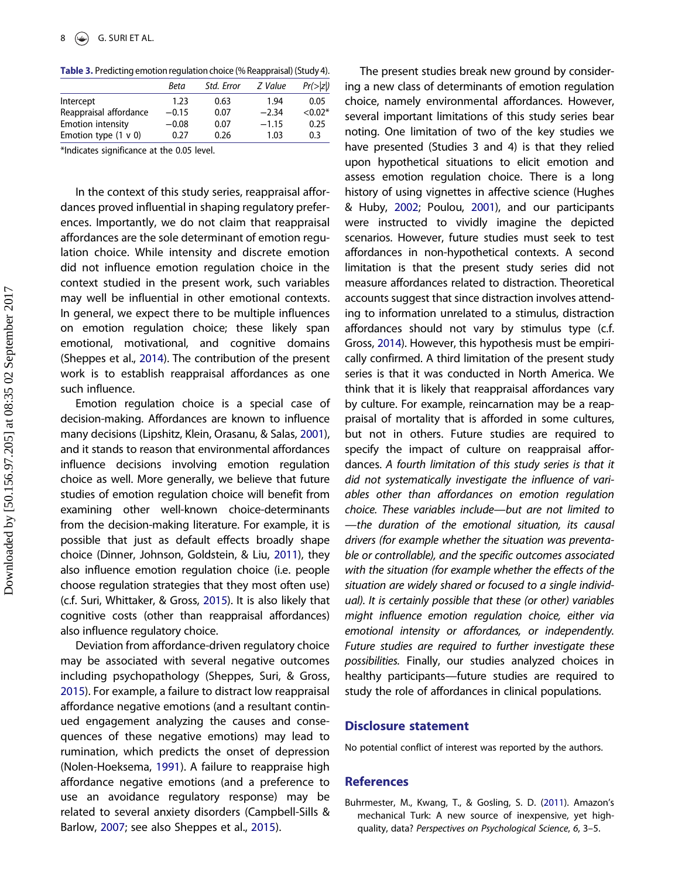<span id="page-8-0"></span>Table 3. Predicting emotion regulation choice (% Reappraisal) (Study 4).

|                           | Beta    | Std. Error | Z Value | Pr(> z )  |
|---------------------------|---------|------------|---------|-----------|
| Intercept                 | 1.23    | 0.63       | 1.94    | 0.05      |
| Reappraisal affordance    | $-0.15$ | 0.07       | $-2.34$ | $< 0.02*$ |
| <b>Emotion intensity</b>  | $-0.08$ | 0.07       | $-1.15$ | 0.25      |
| Emotion type $(1 \vee 0)$ | 0.27    | 0.26       | 1.03    | 0.3       |
|                           |         |            |         |           |

\*Indicates significance at the 0.05 level.

In the context of this study series, reappraisal affordances proved influential in shaping regulatory preferences. Importantly, we do not claim that reappraisal affordances are the sole determinant of emotion regulation choice. While intensity and discrete emotion did not influence emotion regulation choice in the context studied in the present work, such variables may well be influential in other emotional contexts. In general, we expect there to be multiple influences on emotion regulation choice; these likely span emotional, motivational, and cognitive domains (Sheppes et al., [2014\)](#page-9-0). The contribution of the present work is to establish reappraisal affordances as one such influence.

Emotion regulation choice is a special case of decision-making. Affordances are known to influence many decisions (Lipshitz, Klein, Orasanu, & Salas, [2001](#page-9-0)), and it stands to reason that environmental affordances influence decisions involving emotion regulation choice as well. More generally, we believe that future studies of emotion regulation choice will benefit from examining other well-known choice-determinants from the decision-making literature. For example, it is possible that just as default effects broadly shape choice (Dinner, Johnson, Goldstein, & Liu, [2011\)](#page-9-0), they also influence emotion regulation choice (i.e. people choose regulation strategies that they most often use) (c.f. Suri, Whittaker, & Gross, [2015](#page-9-0)). It is also likely that cognitive costs (other than reappraisal affordances) also influence regulatory choice.

Deviation from affordance-driven regulatory choice may be associated with several negative outcomes including psychopathology (Sheppes, Suri, & Gross, [2015](#page-9-0)). For example, a failure to distract low reappraisal affordance negative emotions (and a resultant continued engagement analyzing the causes and consequences of these negative emotions) may lead to rumination, which predicts the onset of depression (Nolen-Hoeksema, [1991](#page-9-0)). A failure to reappraise high affordance negative emotions (and a preference to use an avoidance regulatory response) may be related to several anxiety disorders (Campbell-Sills & Barlow, [2007](#page-9-0); see also Sheppes et al., [2015\)](#page-9-0).

The present studies break new ground by considering a new class of determinants of emotion regulation choice, namely environmental affordances. However, several important limitations of this study series bear noting. One limitation of two of the key studies we have presented (Studies 3 and 4) is that they relied upon hypothetical situations to elicit emotion and assess emotion regulation choice. There is a long history of using vignettes in affective science (Hughes & Huby, [2002](#page-9-0); Poulou, [2001](#page-9-0)), and our participants were instructed to vividly imagine the depicted scenarios. However, future studies must seek to test affordances in non-hypothetical contexts. A second limitation is that the present study series did not measure affordances related to distraction. Theoretical accounts suggest that since distraction involves attending to information unrelated to a stimulus, distraction affordances should not vary by stimulus type (c.f. Gross, [2014\)](#page-9-0). However, this hypothesis must be empirically confirmed. A third limitation of the present study series is that it was conducted in North America. We think that it is likely that reappraisal affordances vary by culture. For example, reincarnation may be a reappraisal of mortality that is afforded in some cultures, but not in others. Future studies are required to specify the impact of culture on reappraisal affordances. A fourth limitation of this study series is that it did not systematically investigate the influence of variables other than affordances on emotion regulation choice. These variables include—but are not limited to —the duration of the emotional situation, its causal drivers (for example whether the situation was preventable or controllable), and the specific outcomes associated with the situation (for example whether the effects of the situation are widely shared or focused to a single individual). It is certainly possible that these (or other) variables might influence emotion regulation choice, either via emotional intensity or affordances, or independently. Future studies are required to further investigate these possibilities. Finally, our studies analyzed choices in healthy participants—future studies are required to study the role of affordances in clinical populations.

#### Disclosure statement

No potential conflict of interest was reported by the authors.

#### References

Buhrmester, M., Kwang, T., & Gosling, S. D. ([2011\)](#page-3-0). Amazon's mechanical Turk: A new source of inexpensive, yet highquality, data? Perspectives on Psychological Science, 6, 3–5.